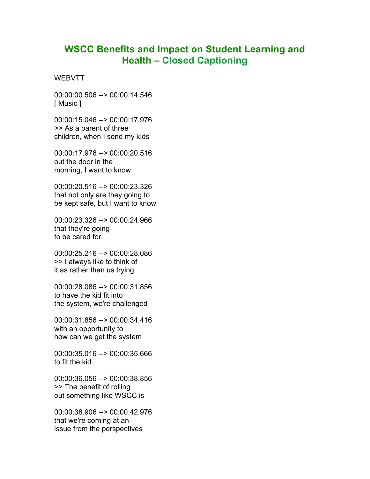## **WSCC Benefits and Impact on Student Learning and Health – Closed Captioning**

**WEBVTT** 

00:00:00.506 --> 00:00:14.546 [ Music ]

00:00:15.046 --> 00:00:17.976 >> As a parent of three children, when I send my kids

00:00:17.976 --> 00:00:20.516 out the door in the morning, I want to know

00:00:20.516 --> 00:00:23.326 that not only are they going to be kept safe, but I want to know

00:00:23.326 --> 00:00:24.966 that they're going to be cared for.

00:00:25.216 --> 00:00:28.086 >> I always like to think of it as rather than us trying

00:00:28.086 --> 00:00:31.856 to have the kid fit into the system, we're challenged

00:00:31.856 --> 00:00:34.416 with an opportunity to how can we get the system

00:00:35.016 --> 00:00:35.666 to fit the kid.

00:00:36.056 --> 00:00:38.856 >> The benefit of rolling out something like WSCC is

00:00:38.906 --> 00:00:42.976 that we're coming at an issue from the perspectives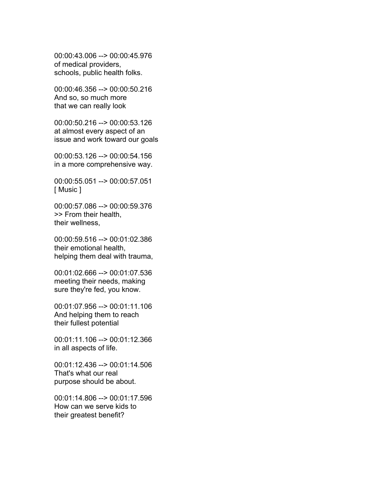00:00:43.006 --> 00:00:45.976 of medical providers, schools, public health folks.

00:00:46.356 --> 00:00:50.216 And so, so much more that we can really look

00:00:50.216 --> 00:00:53.126 at almost every aspect of an issue and work toward our goals

00:00:53.126 --> 00:00:54.156 in a more comprehensive way.

00:00:55.051 --> 00:00:57.051 [ Music ]

00:00:57.086 --> 00:00:59.376 >> From their health, their wellness,

00:00:59.516 --> 00:01:02.386 their emotional health, helping them deal with trauma,

00:01:02.666 --> 00:01:07.536 meeting their needs, making sure they're fed, you know.

00:01:07.956 --> 00:01:11.106 And helping them to reach their fullest potential

00:01:11.106 --> 00:01:12.366 in all aspects of life.

00:01:12.436 --> 00:01:14.506 That's what our real purpose should be about.

00:01:14.806 --> 00:01:17.596 How can we serve kids to their greatest benefit?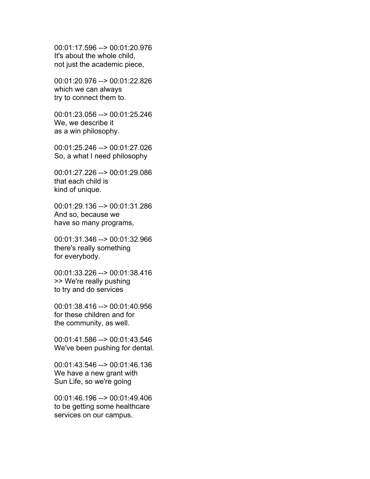00:01:17.596 --> 00:01:20.976 It's about the whole child, not just the academic piece,

00:01:20.976 --> 00:01:22.826 which we can always try to connect them to.

00:01:23.056 --> 00:01:25.246 We, we describe it as a win philosophy.

00:01:25.246 --> 00:01:27.026 So, a what I need philosophy

00:01:27.226 --> 00:01:29.086 that each child is kind of unique.

00:01:29.136 --> 00:01:31.286 And so, because we have so many programs,

00:01:31.346 --> 00:01:32.966 there's really something for everybody.

00:01:33.226 --> 00:01:38.416 >> We're really pushing to try and do services

00:01:38.416 --> 00:01:40.956 for these children and for the community, as well.

00:01:41.586 --> 00:01:43.546 We've been pushing for dental.

00:01:43.546 --> 00:01:46.136 We have a new grant with Sun Life, so we're going

00:01:46.196 --> 00:01:49.406 to be getting some healthcare services on our campus.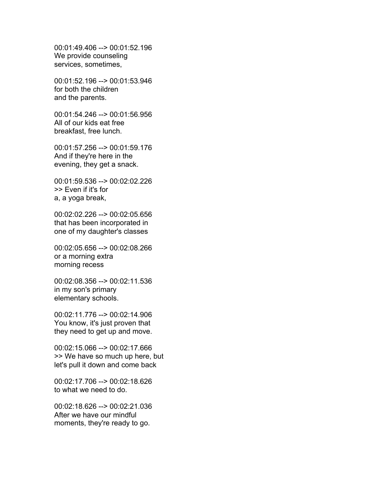00:01:49.406 --> 00:01:52.196 We provide counseling services, sometimes,

00:01:52.196 --> 00:01:53.946 for both the children and the parents.

00:01:54.246 --> 00:01:56.956 All of our kids eat free breakfast, free lunch.

00:01:57.256 --> 00:01:59.176 And if they're here in the evening, they get a snack.

00:01:59.536 --> 00:02:02.226 >> Even if it's for a, a yoga break,

00:02:02.226 --> 00:02:05.656 that has been incorporated in one of my daughter's classes

00:02:05.656 --> 00:02:08.266 or a morning extra morning recess

00:02:08.356 --> 00:02:11.536 in my son's primary elementary schools.

00:02:11.776 --> 00:02:14.906 You know, it's just proven that they need to get up and move.

00:02:15.066 --> 00:02:17.666 >> We have so much up here, but let's pull it down and come back

00:02:17.706 --> 00:02:18.626 to what we need to do.

00:02:18.626 --> 00:02:21.036 After we have our mindful moments, they're ready to go.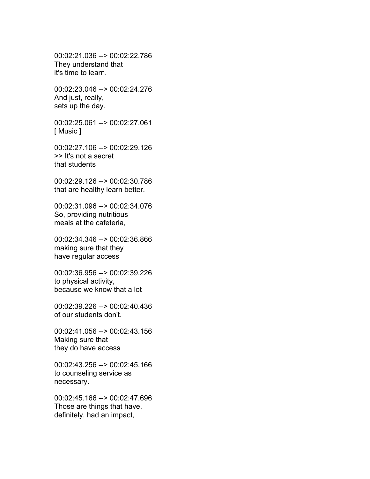00:02:21.036 --> 00:02:22.786 They understand that it's time to learn.

00:02:23.046 --> 00:02:24.276 And just, really, sets up the day.

00:02:25.061 --> 00:02:27.061 [ Music ]

00:02:27.106 --> 00:02:29.126 >> It's not a secret that students

00:02:29.126 --> 00:02:30.786 that are healthy learn better.

00:02:31.096 --> 00:02:34.076 So, providing nutritious meals at the cafeteria,

00:02:34.346 --> 00:02:36.866 making sure that they have regular access

00:02:36.956 --> 00:02:39.226 to physical activity, because we know that a lot

00:02:39.226 --> 00:02:40.436 of our students don't.

00:02:41.056 --> 00:02:43.156 Making sure that they do have access

00:02:43.256 --> 00:02:45.166 to counseling service as necessary.

00:02:45.166 --> 00:02:47.696 Those are things that have, definitely, had an impact,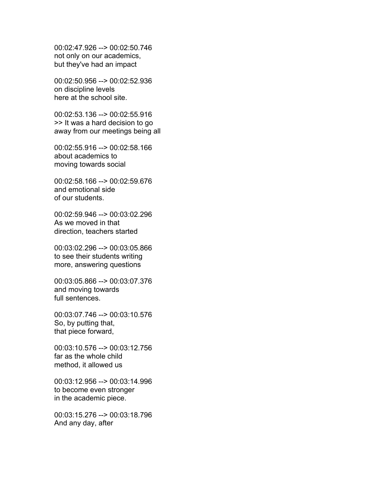00:02:47.926 --> 00:02:50.746 not only on our academics, but they've had an impact

00:02:50.956 --> 00:02:52.936 on discipline levels here at the school site.

00:02:53.136 --> 00:02:55.916 >> It was a hard decision to go away from our meetings being all

00:02:55.916 --> 00:02:58.166 about academics to moving towards social

00:02:58.166 --> 00:02:59.676 and emotional side of our students.

00:02:59.946 --> 00:03:02.296 As we moved in that direction, teachers started

00:03:02.296 --> 00:03:05.866 to see their students writing more, answering questions

00:03:05.866 --> 00:03:07.376 and moving towards full sentences.

00:03:07.746 --> 00:03:10.576 So, by putting that, that piece forward,

00:03:10.576 --> 00:03:12.756 far as the whole child method, it allowed us

00:03:12.956 --> 00:03:14.996 to become even stronger in the academic piece.

00:03:15.276 --> 00:03:18.796 And any day, after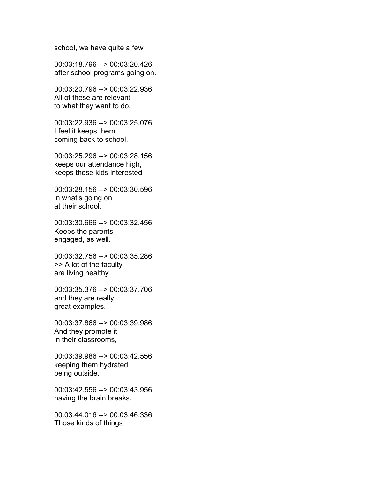school, we have quite a few

00:03:18.796 --> 00:03:20.426 after school programs going on.

00:03:20.796 --> 00:03:22.936 All of these are relevant to what they want to do.

00:03:22.936 --> 00:03:25.076 I feel it keeps them coming back to school,

00:03:25.296 --> 00:03:28.156 keeps our attendance high, keeps these kids interested

00:03:28.156 --> 00:03:30.596 in what's going on at their school.

00:03:30.666 --> 00:03:32.456 Keeps the parents engaged, as well.

00:03:32.756 --> 00:03:35.286 >> A lot of the faculty are living healthy

00:03:35.376 --> 00:03:37.706 and they are really great examples.

00:03:37.866 --> 00:03:39.986 And they promote it in their classrooms,

00:03:39.986 --> 00:03:42.556 keeping them hydrated, being outside,

00:03:42.556 --> 00:03:43.956 having the brain breaks.

00:03:44.016 --> 00:03:46.336 Those kinds of things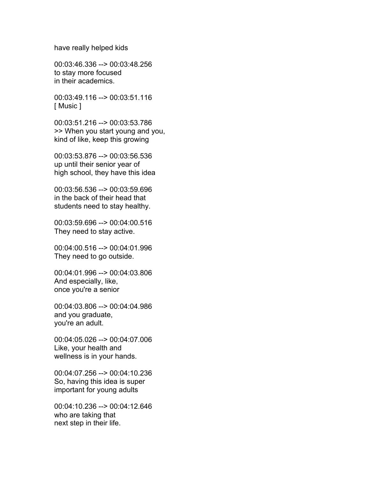have really helped kids

00:03:46.336 --> 00:03:48.256 to stay more focused in their academics.

00:03:49.116 --> 00:03:51.116 [ Music ]

00:03:51.216 --> 00:03:53.786 >> When you start young and you, kind of like, keep this growing

00:03:53.876 --> 00:03:56.536 up until their senior year of high school, they have this idea

00:03:56.536 --> 00:03:59.696 in the back of their head that students need to stay healthy.

00:03:59.696 --> 00:04:00.516 They need to stay active.

00:04:00.516 --> 00:04:01.996 They need to go outside.

00:04:01.996 --> 00:04:03.806 And especially, like, once you're a senior

00:04:03.806 --> 00:04:04.986 and you graduate, you're an adult.

00:04:05.026 --> 00:04:07.006 Like, your health and wellness is in your hands.

00:04:07.256 --> 00:04:10.236 So, having this idea is super important for young adults

00:04:10.236 --> 00:04:12.646 who are taking that next step in their life.